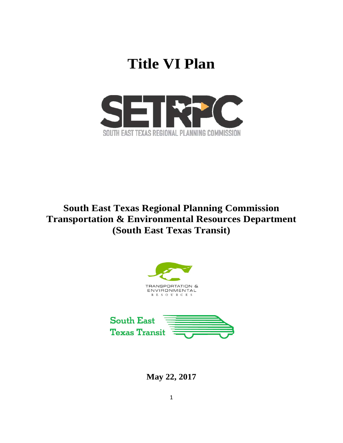# **Title VI Plan**



# **South East Texas Regional Planning Commission Transportation & Environmental Resources Department (South East Texas Transit)**





**May 22, 2017**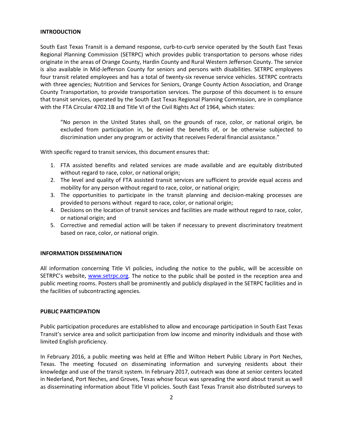### **INTRODUCTION**

South East Texas Transit is a demand response, curb-to-curb service operated by the South East Texas Regional Planning Commission (SETRPC) which provides public transportation to persons whose rides originate in the areas of Orange County, Hardin County and Rural Western Jefferson County. The service is also available in Mid-Jefferson County for seniors and persons with disabilities. SETRPC employees four transit related employees and has a total of twenty-six revenue service vehicles. SETRPC contracts with three agencies; Nutrition and Services for Seniors, Orange County Action Association, and Orange County Transportation, to provide transportation services. The purpose of this document is to ensure that transit services, operated by the South East Texas Regional Planning Commission, are in compliance with the FTA Circular 4702.1B and Title VI of the Civil Rights Act of 1964, which states:

"No person in the United States shall, on the grounds of race, color, or national origin, be excluded from participation in, be denied the benefits of, or be otherwise subjected to discrimination under any program or activity that receives Federal financial assistance."

With specific regard to transit services, this document ensures that:

- 1. FTA assisted benefits and related services are made available and are equitably distributed without regard to race, color, or national origin;
- 2. The level and quality of FTA assisted transit services are sufficient to provide equal access and mobility for any person without regard to race, color, or national origin;
- 3. The opportunities to participate in the transit planning and decision-making processes are provided to persons without regard to race, color, or national origin;
- 4. Decisions on the location of transit services and facilities are made without regard to race, color, or national origin; and
- 5. Corrective and remedial action will be taken if necessary to prevent discriminatory treatment based on race, color, or national origin.

#### **INFORMATION DISSEMINATION**

All information concerning Title VI policies, including the notice to the public, will be accessible on SETRPC's website, [www.setrpc.org.](http://www.setrpc.org/) The notice to the public shall be posted in the reception area and public meeting rooms. Posters shall be prominently and publicly displayed in the SETRPC facilities and in the facilities of subcontracting agencies.

#### **PUBLIC PARTICIPATION**

Public participation procedures are established to allow and encourage participation in South East Texas Transit's service area and solicit participation from low income and minority individuals and those with limited English proficiency.

In February 2016, a public meeting was held at Effie and Wilton Hebert Public Library in Port Neches, Texas. The meeting focused on disseminating information and surveying residents about their knowledge and use of the transit system. In February 2017, outreach was done at senior centers located in Nederland, Port Neches, and Groves, Texas whose focus was spreading the word about transit as well as disseminating information about Title VI policies. South East Texas Transit also distributed surveys to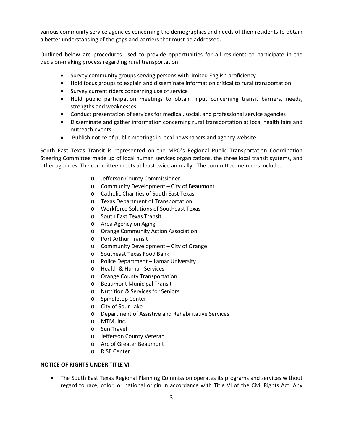various community service agencies concerning the demographics and needs of their residents to obtain a better understanding of the gaps and barriers that must be addressed.

Outlined below are procedures used to provide opportunities for all residents to participate in the decision-making process regarding rural transportation:

- Survey community groups serving persons with limited English proficiency
- Hold focus groups to explain and disseminate information critical to rural transportation
- Survey current riders concerning use of service
- Hold public participation meetings to obtain input concerning transit barriers, needs, strengths and weaknesses
- Conduct presentation of services for medical, social, and professional service agencies
- Disseminate and gather information concerning rural transportation at local health fairs and outreach events
- Publish notice of public meetings in local newspapers and agency website

South East Texas Transit is represented on the MPO's Regional Public Transportation Coordination Steering Committee made up of local human services organizations, the three local transit systems, and other agencies. The committee meets at least twice annually. The committee members include:

- o Jefferson County Commissioner
- o Community Development City of Beaumont
- o Catholic Charities of South East Texas
- o Texas Department of Transportation
- o Workforce Solutions of Southeast Texas
- o South East Texas Transit
- o Area Agency on Aging
- o Orange Community Action Association
- o Port Arthur Transit
- o Community Development City of Orange
- o Southeast Texas Food Bank
- o Police Department Lamar University
- o Health & Human Services
- o Orange County Transportation
- o Beaumont Municipal Transit
- o Nutrition & Services for Seniors
- o Spindletop Center
- o City of Sour Lake
- o Department of Assistive and Rehabilitative Services
- o MTM, Inc.
- o Sun Travel
- o Jefferson County Veteran
- o Arc of Greater Beaumont
- o RISE Center

### **NOTICE OF RIGHTS UNDER TITLE VI**

• The South East Texas Regional Planning Commission operates its programs and services without regard to race, color, or national origin in accordance with Title VI of the Civil Rights Act. Any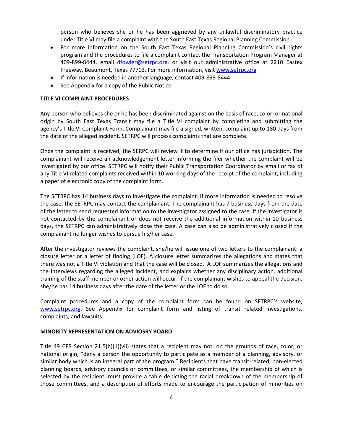person who believes she or he has been aggrieved by any unlawful discriminatory practice under Title VI may file a complaint with the South East Texas Regional Planning Commission.

- For more information on the South East Texas Regional Planning Commission's civil rights program and the procedures to file a complaint contact the Transportation Program Manager at 409-899-8444, email [dfowler@setrpc.org,](mailto:dfowler@setrpc.org) or visit our administrative office at 2210 Eastex Freeway, Beaumont, Texas 77703. For more information, visit [www.setrpc.org](http://www.setrpc.org/)
- If information is needed in another language, contact 409-899-8444.
- See Appendix for a copy of the Public Notice.

#### **TITLE VI COMPLAINT PROCEDURES**

Any person who believes she or he has been discriminated against on the basis of race, color, or national origin by South East Texas Transit may file a Title VI complaint by completing and submitting the agency's Title VI Complaint Form. Complainant may file a signed, written, complaint up to 180 days from the date of the alleged incident. SETRPC will process complaints that are complete.

Once the complaint is received, the SERPC will review it to determine if our office has jurisdiction. The complainant will receive an acknowledgement letter informing the filer whether the complaint will be investigated by our office. SETRPC will notify their Public Transportation Coordinator by email or fax of any Title VI related complaints received within 10 working days of the receipt of the complaint, including a paper of electronic copy of the complaint form.

The SETRPC has 14 business days to investigate the complaint. If more information is needed to resolve the case, the SETRPC may contact the complainant. The complainant has 7 business days from the date of the letter to send requested information to the investigator assigned to the case. If the investigator is not contacted by the complainant or does not receive the additional information within 10 business days, the SETRPC can administratively close the case. A case can also be administratively closed if the complainant no longer wishes to pursue his/her case.

After the investigator reviews the complaint, she/he will issue one of two letters to the complainant: a closure letter or a letter of finding (LOF). A closure letter summarizes the allegations and states that there was not a Title VI violation and that the case will be closed. A LOF summarizes the allegations and the interviews regarding the alleged incident, and explains whether any disciplinary action, additional training of the staff member or other action will occur. If the complainant wishes to appeal the decision, she/he has 14 business days after the date of the letter or the LOF to do so.

Complaint procedures and a copy of the complaint form can be found on SETRPC's website, [www.setrpc.org.](http://www.setrpc.org/) See Appendix for complaint form and listing of transit related investigations, complaints, and lawsuits.

#### **MINORITY REPRESENTATION ON ADVIOSRY BOARD**

Title 49 CFR Section 21.5(b)(1)(vii) states that a recipient may not, on the grounds of race, color, or national origin, "deny a person the opportunity to participate as a member of a planning, advisory, or similar body which is an integral part of the program." Recipients that have transit-related, non-elected planning boards, advisory councils or committees, or similar committees, the membership of which is selected by the recipient, must provide a table depicting the racial breakdown of the membership of those committees, and a description of efforts made to encourage the participation of minorities on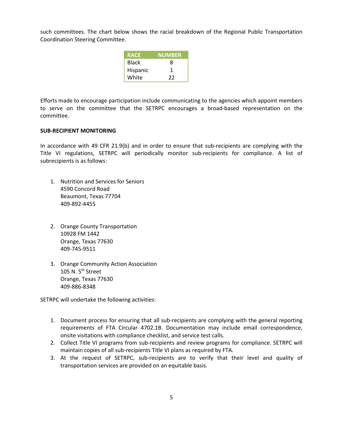such committees. The chart below shows the racial breakdown of the Regional Public Transportation Coordination Steering Committee.

| <b>RACE</b>  | <b>NUMBER</b> |
|--------------|---------------|
| <b>Black</b> | 8             |
| Hispanic     | 1             |
| White        | 22            |

Efforts made to encourage participation include communicating to the agencies which appoint members to serve on the committee that the SETRPC encourages a broad-based representation on the committee.

#### **SUB-RECIPIENT MONITORING**

In accordance with 49 CFR 21.9(b) and in order to ensure that sub-recipients are complying with the Title VI regulations, SETRPC will periodically monitor sub-recipients for compliance. A list of subrecipients is as follows:

- 1. Nutrition and Services for Seniors 4590 Concord Road Beaumont, Texas 77704 409-892-4455
- 2. Orange County Transportation 10928 FM 1442 Orange, Texas 77630 409-745-9511
- 3. Orange Community Action Association 105 N.  $5<sup>th</sup>$  Street Orange, Texas 77630 409-886-8348

SETRPC will undertake the following activities:

- 1. Document process for ensuring that all sub-recipients are complying with the general reporting requirements of FTA Circular 4702.1B. Documentation may include email correspondence, onsite visitations with compliance checklist, and service test calls.
- 2. Collect Title VI programs from sub-recipients and review programs for compliance. SETRPC will maintain copies of all sub-recipients Title VI plans as required by FTA.
- 3. At the request of SETRPC, sub-recipients are to verify that their level and quality of transportation services are provided on an equitable basis.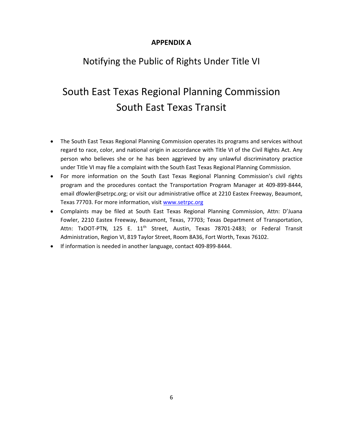### **APPENDIX A**

# Notifying the Public of Rights Under Title VI

# South East Texas Regional Planning Commission South East Texas Transit

- The South East Texas Regional Planning Commission operates its programs and services without regard to race, color, and national origin in accordance with Title VI of the Civil Rights Act. Any person who believes she or he has been aggrieved by any unlawful discriminatory practice under Title VI may file a complaint with the South East Texas Regional Planning Commission.
- For more information on the South East Texas Regional Planning Commission's civil rights program and the procedures contact the Transportation Program Manager at 409-899-8444, email dfowler@setrpc.org; or visit our administrative office at 2210 Eastex Freeway, Beaumont, Texas 77703. For more information, visit [www.setrpc.org](http://www.setrpc.org/)
- Complaints may be filed at South East Texas Regional Planning Commission, Attn: D'Juana Fowler, 2210 Eastex Freeway, Beaumont, Texas, 77703; Texas Department of Transportation, Attn: TxDOT-PTN, 125 E. 11<sup>th</sup> Street, Austin, Texas 78701-2483; or Federal Transit Administration, Region VI, 819 Taylor Street, Room 8A36, Fort Worth, Texas 76102.
- If information is needed in another language, contact 409-899-8444.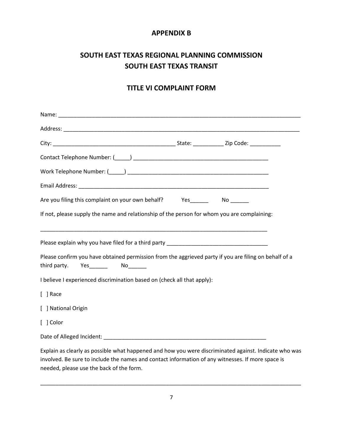### **APPENDIX B**

### **SOUTH EAST TEXAS REGIONAL PLANNING COMMISSION SOUTH EAST TEXAS TRANSIT**

### **TITLE VI COMPLAINT FORM**

| Are you filing this complaint on your own behalf? Yes______                                                                                       |  |
|---------------------------------------------------------------------------------------------------------------------------------------------------|--|
| If not, please supply the name and relationship of the person for whom you are complaining:                                                       |  |
| Please confirm you have obtained permission from the aggrieved party if you are filing on behalf of a<br>third party.<br>Yes_________  No________ |  |
| I believe I experienced discrimination based on (check all that apply):                                                                           |  |
| [ ] Race                                                                                                                                          |  |
| [ ] National Origin                                                                                                                               |  |
| [ ] Color                                                                                                                                         |  |
|                                                                                                                                                   |  |
| Explain as clearly as possible what happened and how you were discriminated against. Indicate who was                                             |  |

involved. Be sure to include the names and contact information of any witnesses. If more space is needed, please use the back of the form.

\_\_\_\_\_\_\_\_\_\_\_\_\_\_\_\_\_\_\_\_\_\_\_\_\_\_\_\_\_\_\_\_\_\_\_\_\_\_\_\_\_\_\_\_\_\_\_\_\_\_\_\_\_\_\_\_\_\_\_\_\_\_\_\_\_\_\_\_\_\_\_\_\_\_\_\_\_\_\_\_\_\_\_\_\_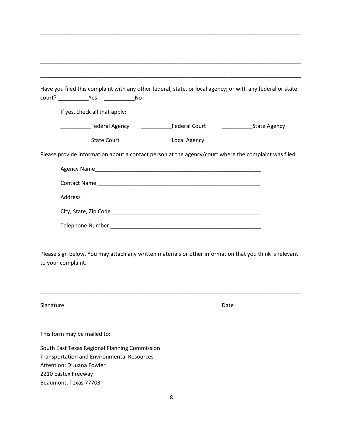|                    |                                                                                                                                 |  | Have you filed this complaint with any other federal, state, or local agency; or with any federal or state |              |  |  |
|--------------------|---------------------------------------------------------------------------------------------------------------------------------|--|------------------------------------------------------------------------------------------------------------|--------------|--|--|
|                    | court? Nes No                                                                                                                   |  |                                                                                                            |              |  |  |
|                    | If yes, check all that apply:                                                                                                   |  |                                                                                                            |              |  |  |
|                    |                                                                                                                                 |  |                                                                                                            | State Agency |  |  |
|                    | State Court                                                                                                                     |  | <b>Local Agency</b>                                                                                        |              |  |  |
|                    |                                                                                                                                 |  | Please provide information about a contact person at the agency/court where the complaint was filed.       |              |  |  |
|                    |                                                                                                                                 |  |                                                                                                            |              |  |  |
|                    |                                                                                                                                 |  |                                                                                                            |              |  |  |
|                    |                                                                                                                                 |  |                                                                                                            |              |  |  |
|                    |                                                                                                                                 |  |                                                                                                            |              |  |  |
|                    |                                                                                                                                 |  |                                                                                                            |              |  |  |
|                    |                                                                                                                                 |  |                                                                                                            |              |  |  |
| to your complaint. |                                                                                                                                 |  | Please sign below. You may attach any written materials or other information that you think is relevant    |              |  |  |
| Signature          |                                                                                                                                 |  | Date                                                                                                       |              |  |  |
|                    | This form may be mailed to:                                                                                                     |  |                                                                                                            |              |  |  |
|                    | South East Texas Regional Planning Commission<br><b>Transportation and Environmental Resources</b><br>Attention: D'Juana Fowler |  |                                                                                                            |              |  |  |

2210 Eastex Freeway

Beaumont, Texas 77703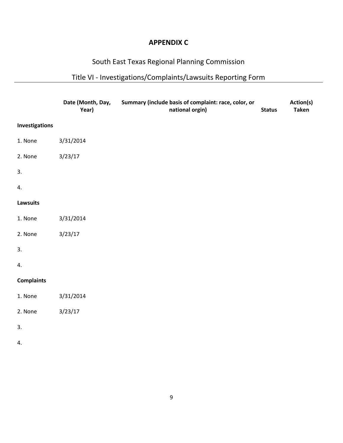### **APPENDIX C**

### South East Texas Regional Planning Commission

# Title VI - Investigations/Complaints/Lawsuits Reporting Form

|                       | Date (Month, Day,<br>Year) | Summary (include basis of complaint: race, color, or<br>national orgin) | <b>Status</b> | Action(s)<br><b>Taken</b> |
|-----------------------|----------------------------|-------------------------------------------------------------------------|---------------|---------------------------|
| <b>Investigations</b> |                            |                                                                         |               |                           |
| 1. None               | 3/31/2014                  |                                                                         |               |                           |
| 2. None               | 3/23/17                    |                                                                         |               |                           |
| 3.                    |                            |                                                                         |               |                           |
| 4.                    |                            |                                                                         |               |                           |
| <b>Lawsuits</b>       |                            |                                                                         |               |                           |
| 1. None               | 3/31/2014                  |                                                                         |               |                           |
| 2. None               | 3/23/17                    |                                                                         |               |                           |
| 3.                    |                            |                                                                         |               |                           |
| 4.                    |                            |                                                                         |               |                           |
| <b>Complaints</b>     |                            |                                                                         |               |                           |
| 1. None               | 3/31/2014                  |                                                                         |               |                           |
| 2. None               | 3/23/17                    |                                                                         |               |                           |
| 3.                    |                            |                                                                         |               |                           |
| 4.                    |                            |                                                                         |               |                           |